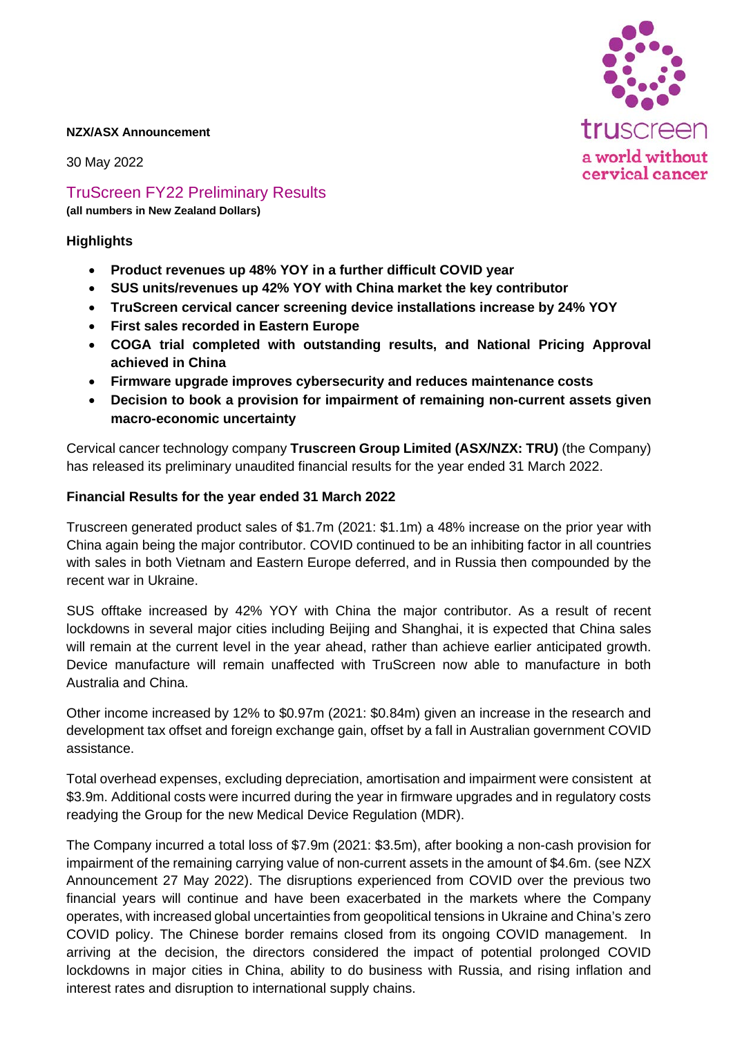

#### **NZX/ASX Announcement**

30 May 2022

TruScreen FY22 Preliminary Results

**(all numbers in New Zealand Dollars)**

# **Highlights**

- **Product revenues up 48% YOY in a further difficult COVID year**
- **SUS units/revenues up 42% YOY with China market the key contributor**
- **TruScreen cervical cancer screening device installations increase by 24% YOY**
- **First sales recorded in Eastern Europe**
- **COGA trial completed with outstanding results, and National Pricing Approval achieved in China**
- **Firmware upgrade improves cybersecurity and reduces maintenance costs**
- **Decision to book a provision for impairment of remaining non-current assets given macro-economic uncertainty**

Cervical cancer technology company **Truscreen Group Limited (ASX/NZX: TRU)** (the Company) has released its preliminary unaudited financial results for the year ended 31 March 2022.

#### **Financial Results for the year ended 31 March 2022**

Truscreen generated product sales of \$1.7m (2021: \$1.1m) a 48% increase on the prior year with China again being the major contributor. COVID continued to be an inhibiting factor in all countries with sales in both Vietnam and Eastern Europe deferred, and in Russia then compounded by the recent war in Ukraine.

SUS offtake increased by 42% YOY with China the major contributor. As a result of recent lockdowns in several major cities including Beijing and Shanghai, it is expected that China sales will remain at the current level in the year ahead, rather than achieve earlier anticipated growth. Device manufacture will remain unaffected with TruScreen now able to manufacture in both Australia and China.

Other income increased by 12% to \$0.97m (2021: \$0.84m) given an increase in the research and development tax offset and foreign exchange gain, offset by a fall in Australian government COVID assistance.

Total overhead expenses, excluding depreciation, amortisation and impairment were consistent at \$3.9m. Additional costs were incurred during the year in firmware upgrades and in regulatory costs readying the Group for the new Medical Device Regulation (MDR).

The Company incurred a total loss of \$7.9m (2021: \$3.5m), after booking a non-cash provision for impairment of the remaining carrying value of non-current assets in the amount of \$4.6m. (see NZX Announcement 27 May 2022). The disruptions experienced from COVID over the previous two financial years will continue and have been exacerbated in the markets where the Company operates, with increased global uncertainties from geopolitical tensions in Ukraine and China's zero COVID policy. The Chinese border remains closed from its ongoing COVID management. In arriving at the decision, the directors considered the impact of potential prolonged COVID lockdowns in major cities in China, ability to do business with Russia, and rising inflation and interest rates and disruption to international supply chains.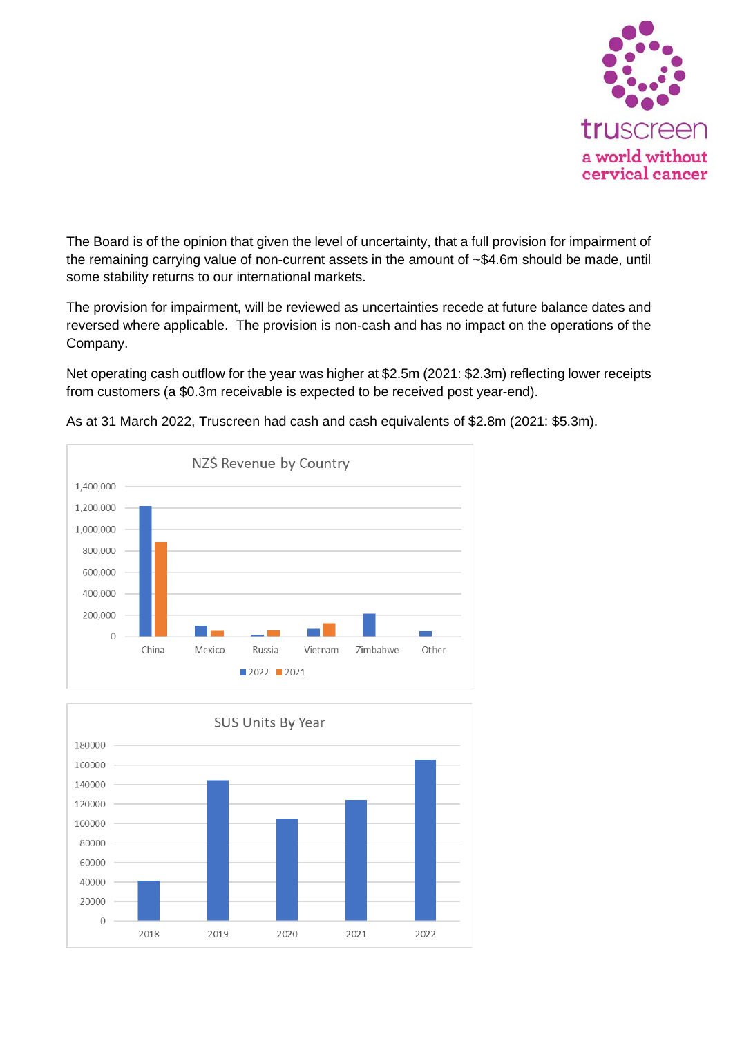

The Board is of the opinion that given the level of uncertainty, that a full provision for impairment of the remaining carrying value of non-current assets in the amount of ~\$4.6m should be made, until some stability returns to our international markets.

The provision for impairment, will be reviewed as uncertainties recede at future balance dates and reversed where applicable. The provision is non-cash and has no impact on the operations of the Company.

Net operating cash outflow for the year was higher at \$2.5m (2021: \$2.3m) reflecting lower receipts from customers (a \$0.3m receivable is expected to be received post year-end).



As at 31 March 2022, Truscreen had cash and cash equivalents of \$2.8m (2021: \$5.3m).

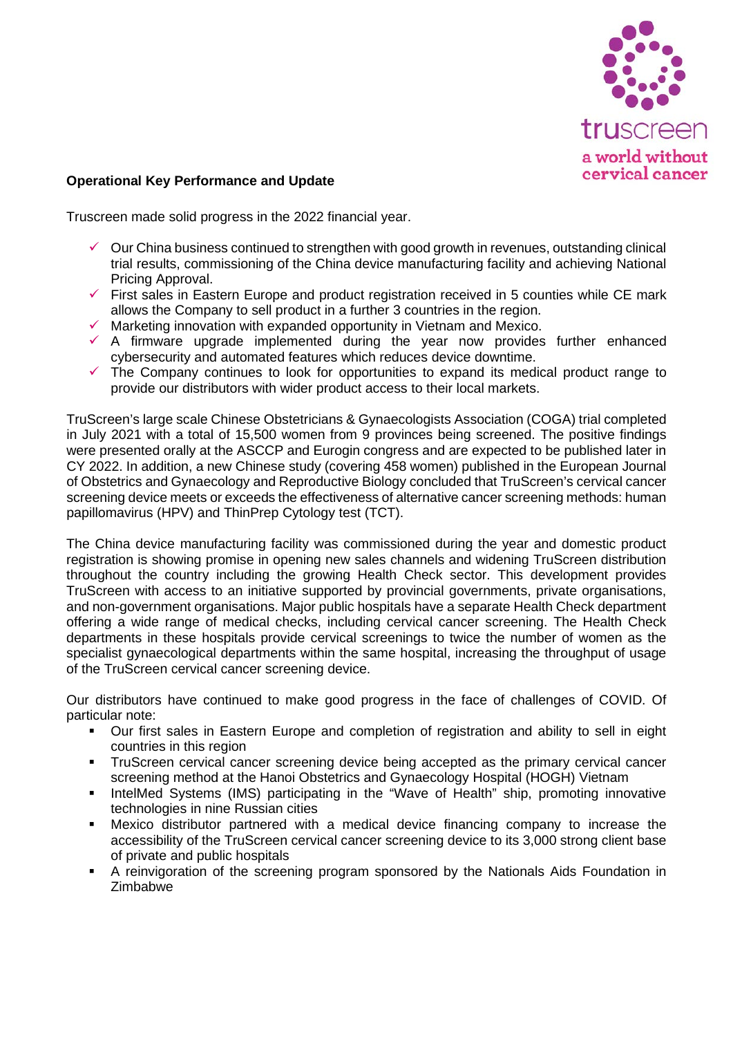

# **Operational Key Performance and Update**

Truscreen made solid progress in the 2022 financial year.

- $\checkmark$  Our China business continued to strengthen with good growth in revenues, outstanding clinical trial results, commissioning of the China device manufacturing facility and achieving National Pricing Approval.
- $\checkmark$  First sales in Eastern Europe and product registration received in 5 counties while CE mark allows the Company to sell product in a further 3 countries in the region.
- $\checkmark$  Marketing innovation with expanded opportunity in Vietnam and Mexico.
- $\checkmark$  A firmware upgrade implemented during the year now provides further enhanced cybersecurity and automated features which reduces device downtime.
- $\checkmark$  The Company continues to look for opportunities to expand its medical product range to provide our distributors with wider product access to their local markets.

TruScreen's large scale Chinese Obstetricians & Gynaecologists Association (COGA) trial completed in July 2021 with a total of 15,500 women from 9 provinces being screened. The positive findings were presented orally at the ASCCP and Eurogin congress and are expected to be published later in CY 2022. In addition, a new Chinese study (covering 458 women) published in the European Journal of Obstetrics and Gynaecology and Reproductive Biology concluded that TruScreen's cervical cancer screening device meets or exceeds the effectiveness of alternative cancer screening methods: human papillomavirus (HPV) and ThinPrep Cytology test (TCT).

The China device manufacturing facility was commissioned during the year and domestic product registration is showing promise in opening new sales channels and widening TruScreen distribution throughout the country including the growing Health Check sector. This development provides TruScreen with access to an initiative supported by provincial governments, private organisations, and non-government organisations. Major public hospitals have a separate Health Check department offering a wide range of medical checks, including cervical cancer screening. The Health Check departments in these hospitals provide cervical screenings to twice the number of women as the specialist gynaecological departments within the same hospital, increasing the throughput of usage of the TruScreen cervical cancer screening device.

Our distributors have continued to make good progress in the face of challenges of COVID. Of particular note:

- Our first sales in Eastern Europe and completion of registration and ability to sell in eight countries in this region
- **TruScreen cervical cancer screening device being accepted as the primary cervical cancer** screening method at the Hanoi Obstetrics and Gynaecology Hospital (HOGH) Vietnam
- IntelMed Systems (IMS) participating in the "Wave of Health" ship, promoting innovative technologies in nine Russian cities
- Mexico distributor partnered with a medical device financing company to increase the accessibility of the TruScreen cervical cancer screening device to its 3,000 strong client base of private and public hospitals
- A reinvigoration of the screening program sponsored by the Nationals Aids Foundation in Zimbabwe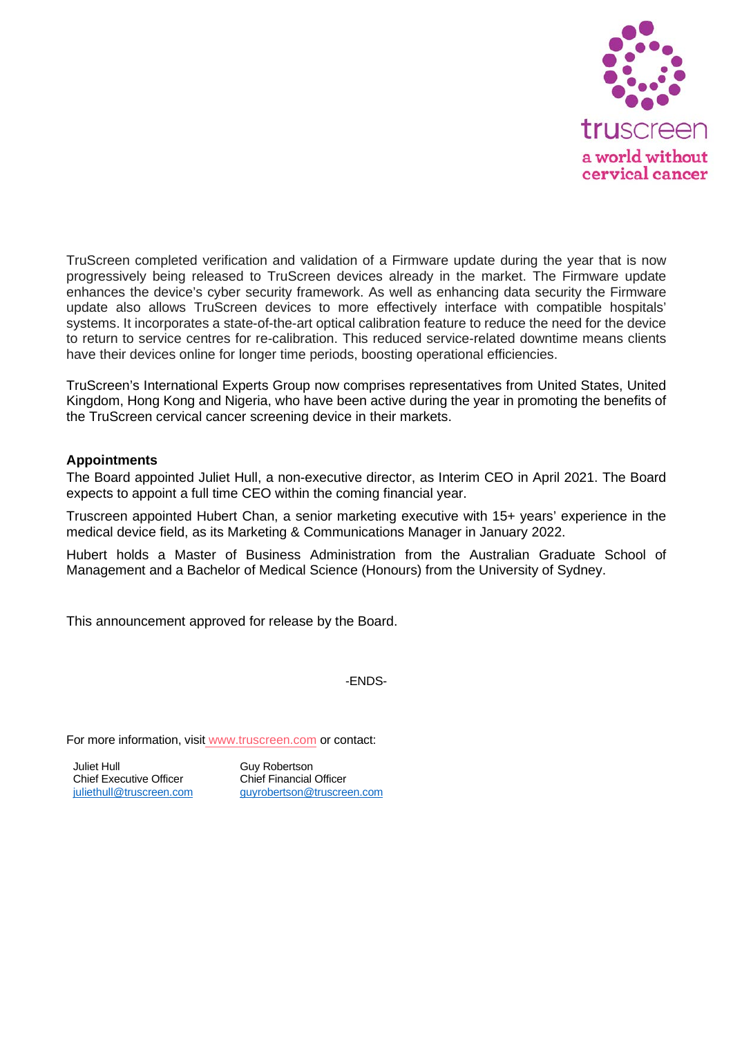

TruScreen completed verification and validation of a Firmware update during the year that is now progressively being released to TruScreen devices already in the market. The Firmware update enhances the device's cyber security framework. As well as enhancing data security the Firmware update also allows TruScreen devices to more effectively interface with compatible hospitals' systems. It incorporates a state-of-the-art optical calibration feature to reduce the need for the device to return to service centres for re-calibration. This reduced service-related downtime means clients have their devices online for longer time periods, boosting operational efficiencies.

TruScreen's International Experts Group now comprises representatives from United States, United Kingdom, Hong Kong and Nigeria, who have been active during the year in promoting the benefits of the TruScreen cervical cancer screening device in their markets.

#### **Appointments**

The Board appointed Juliet Hull, a non-executive director, as Interim CEO in April 2021. The Board expects to appoint a full time CEO within the coming financial year.

Truscreen appointed Hubert Chan, a senior marketing executive with 15+ years' experience in the medical device field, as its Marketing & Communications Manager in January 2022.

Hubert holds a Master of Business Administration from the Australian Graduate School of Management and a Bachelor of Medical Science (Honours) from the University of Sydney.

This announcement approved for release by the Board.

-ENDS-

For more information, visit [www.truscreen.com](http://www.truscreen.com/) or contact:

Juliet Hull Chief Executive Officer [juliethull@truscreen.com](mailto:juliethull@truscreen.com)

Guy Robertson Chief Financial Officer [guyrobertson@truscreen.com](mailto:guyrobertson@truscreen.com)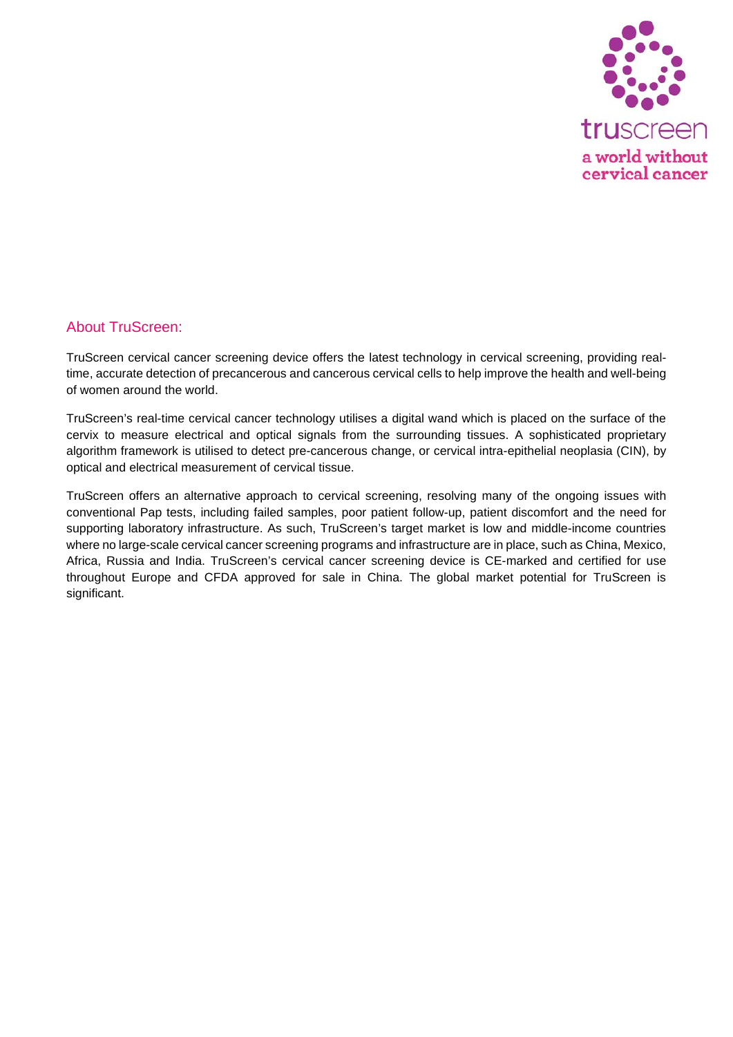

## About TruScreen:

TruScreen cervical cancer screening device [offers the latest technology](https://truscreen.com/news/how-truscreens-real-time-cervical-cancer-screening-works/) in cervical screening, providing realtime, accurate detection of precancerous and cancerous cervical cells to help improve the health and well-being of women around the world.

TruScreen's real-time cervical cancer technology utilises a digital wand which is placed on the surface of the cervix to measure electrical and optical signals from the surrounding tissues. A sophisticated proprietary algorithm framework is utilised to detect pre-cancerous change, or cervical intra-epithelial neoplasia (CIN), by optical and electrical measurement of cervical tissue.

TruScreen offers an alternative approach to cervical screening, [resolving many of the ongoing issues](https://truscreen.com/truscreen-the-product/features-benefits/) with conventional Pap tests, including failed samples, poor patient follow-up, patient discomfort and the need for supporting laboratory infrastructure. As such, TruScreen's target [market](https://truscreen.com/truscreen-the-company/markets/) is low and middle-income countries where no large-scale cervical cancer screening programs and infrastructure are in place, such as China, Mexico, Africa, Russia and India. TruScreen's cervical cancer screening device is CE-marked and certified for use throughout Europe and CFDA approved for sale in China. The global market potential for TruScreen is significant.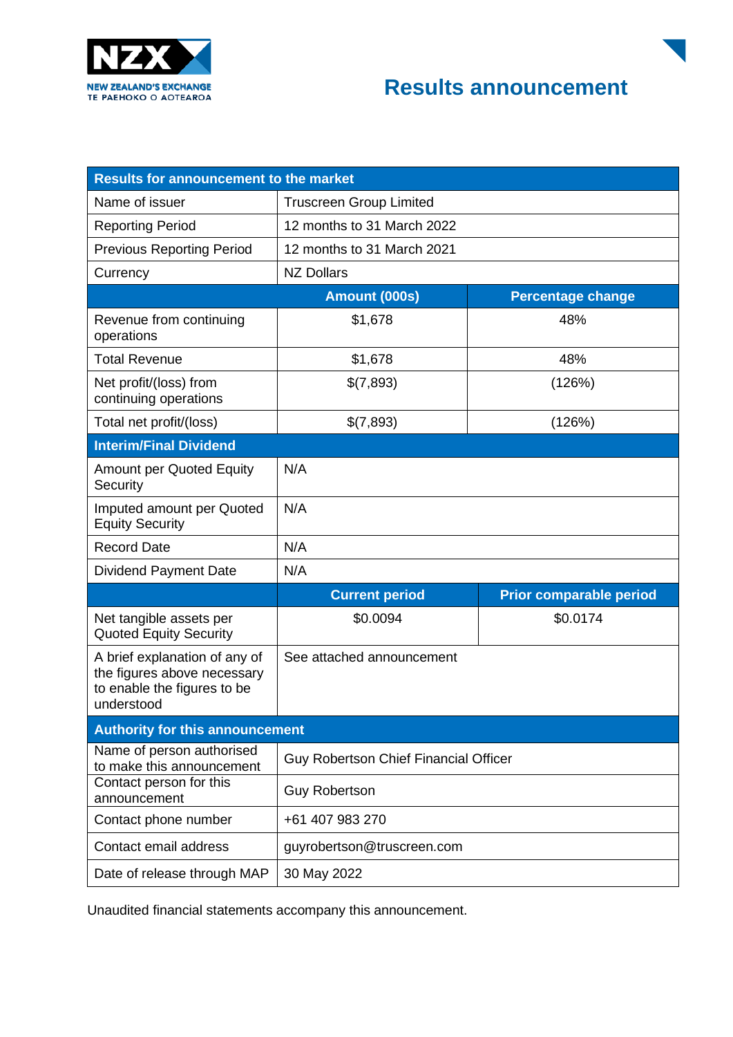



| <b>Results for announcement to the market</b>                                                             |                                              |                                |  |  |  |
|-----------------------------------------------------------------------------------------------------------|----------------------------------------------|--------------------------------|--|--|--|
| Name of issuer                                                                                            | <b>Truscreen Group Limited</b>               |                                |  |  |  |
| <b>Reporting Period</b>                                                                                   | 12 months to 31 March 2022                   |                                |  |  |  |
| <b>Previous Reporting Period</b>                                                                          | 12 months to 31 March 2021                   |                                |  |  |  |
| Currency                                                                                                  | <b>NZ Dollars</b>                            |                                |  |  |  |
|                                                                                                           | Amount (000s)<br><b>Percentage change</b>    |                                |  |  |  |
| Revenue from continuing<br>operations                                                                     | \$1,678                                      | 48%                            |  |  |  |
| <b>Total Revenue</b>                                                                                      | \$1,678                                      | 48%                            |  |  |  |
| Net profit/(loss) from<br>continuing operations                                                           | \$(7,893)                                    | (126%)                         |  |  |  |
| Total net profit/(loss)                                                                                   | \$(7,893)                                    | (126%)                         |  |  |  |
| <b>Interim/Final Dividend</b>                                                                             |                                              |                                |  |  |  |
| <b>Amount per Quoted Equity</b><br>Security                                                               | N/A                                          |                                |  |  |  |
| Imputed amount per Quoted<br><b>Equity Security</b>                                                       | N/A                                          |                                |  |  |  |
| <b>Record Date</b>                                                                                        | N/A                                          |                                |  |  |  |
| <b>Dividend Payment Date</b>                                                                              | N/A                                          |                                |  |  |  |
|                                                                                                           | <b>Current period</b>                        | <b>Prior comparable period</b> |  |  |  |
| Net tangible assets per<br><b>Quoted Equity Security</b>                                                  | \$0.0094                                     | \$0.0174                       |  |  |  |
| A brief explanation of any of<br>the figures above necessary<br>to enable the figures to be<br>understood | See attached announcement                    |                                |  |  |  |
| <b>Authority for this announcement</b>                                                                    |                                              |                                |  |  |  |
| Name of person authorised<br>to make this announcement                                                    | <b>Guy Robertson Chief Financial Officer</b> |                                |  |  |  |
| Contact person for this<br>announcement                                                                   | <b>Guy Robertson</b>                         |                                |  |  |  |
| Contact phone number                                                                                      | +61 407 983 270                              |                                |  |  |  |
| Contact email address                                                                                     | guyrobertson@truscreen.com                   |                                |  |  |  |
| Date of release through MAP                                                                               | 30 May 2022                                  |                                |  |  |  |

Unaudited financial statements accompany this announcement.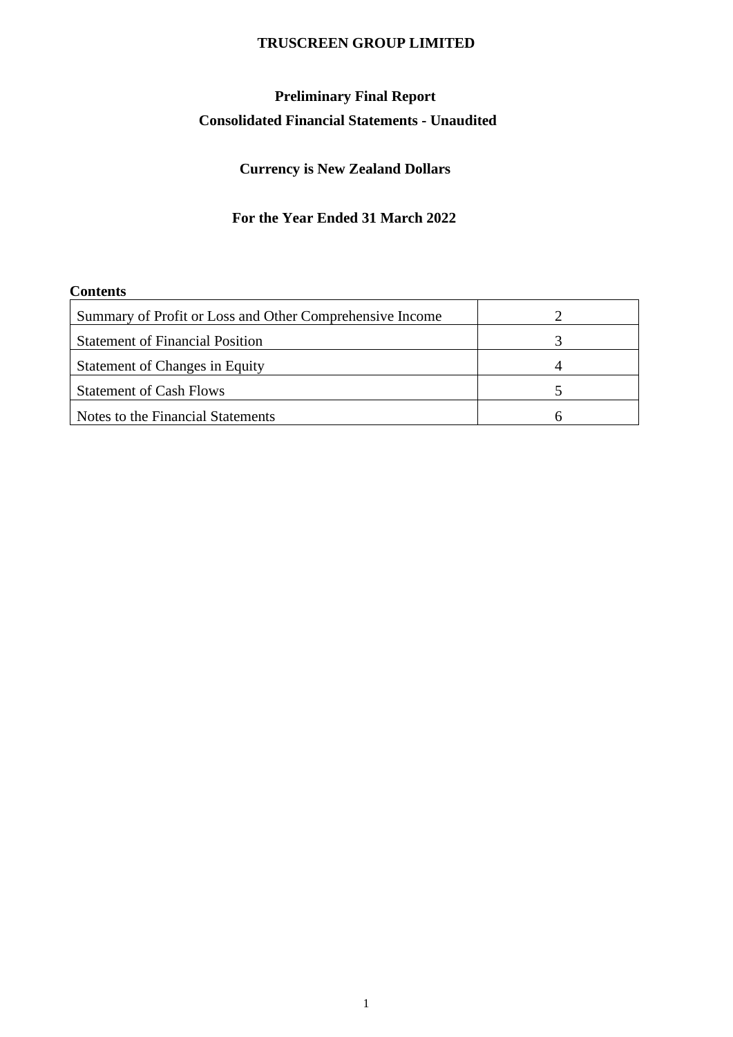# **Preliminary Final Report Consolidated Financial Statements - Unaudited**

# **Currency is New Zealand Dollars**

# **For the Year Ended 31 March 2022**

## **Contents**

| Summary of Profit or Loss and Other Comprehensive Income |  |
|----------------------------------------------------------|--|
| <b>Statement of Financial Position</b>                   |  |
| <b>Statement of Changes in Equity</b>                    |  |
| <b>Statement of Cash Flows</b>                           |  |
| Notes to the Financial Statements                        |  |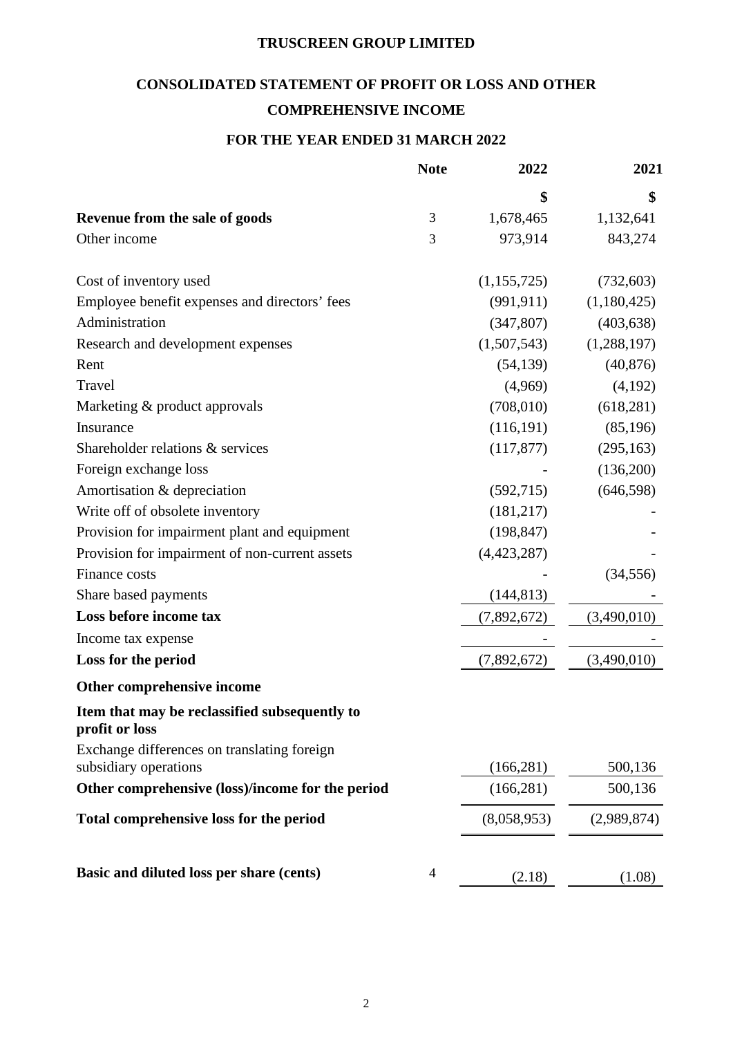# **CONSOLIDATED STATEMENT OF PROFIT OR LOSS AND OTHER COMPREHENSIVE INCOME**

# **FOR THE YEAR ENDED 31 MARCH 2022**

|                                                                      | <b>Note</b> | 2022        | 2021        |
|----------------------------------------------------------------------|-------------|-------------|-------------|
|                                                                      |             | \$          | \$          |
| Revenue from the sale of goods                                       | 3           | 1,678,465   | 1,132,641   |
| Other income                                                         | 3           | 973,914     | 843,274     |
| Cost of inventory used                                               |             | (1,155,725) | (732, 603)  |
| Employee benefit expenses and directors' fees                        |             | (991, 911)  | (1,180,425) |
| Administration                                                       |             | (347, 807)  | (403, 638)  |
| Research and development expenses                                    |             | (1,507,543) | (1,288,197) |
| Rent                                                                 |             | (54, 139)   | (40, 876)   |
| Travel                                                               |             | (4,969)     | (4,192)     |
| Marketing & product approvals                                        |             | (708,010)   | (618, 281)  |
| Insurance                                                            |             | (116, 191)  | (85,196)    |
| Shareholder relations & services                                     |             | (117, 877)  | (295, 163)  |
| Foreign exchange loss                                                |             |             | (136,200)   |
| Amortisation & depreciation                                          |             | (592, 715)  | (646, 598)  |
| Write off of obsolete inventory                                      |             | (181, 217)  |             |
| Provision for impairment plant and equipment                         |             | (198, 847)  |             |
| Provision for impairment of non-current assets                       |             | (4,423,287) |             |
| Finance costs                                                        |             |             | (34, 556)   |
| Share based payments                                                 |             | (144, 813)  |             |
| Loss before income tax                                               |             | (7,892,672) | (3,490,010) |
| Income tax expense                                                   |             |             |             |
| Loss for the period                                                  |             | (7,892,672) | (3,490,010) |
| Other comprehensive income                                           |             |             |             |
| Item that may be reclassified subsequently to<br>profit or loss      |             |             |             |
| Exchange differences on translating foreign<br>subsidiary operations |             | (166, 281)  | 500,136     |
| Other comprehensive (loss)/income for the period                     |             | (166, 281)  | 500,136     |
| Total comprehensive loss for the period                              |             | (8,058,953) | (2,989,874) |
| Basic and diluted loss per share (cents)                             | 4           | (2.18)      | (1.08)      |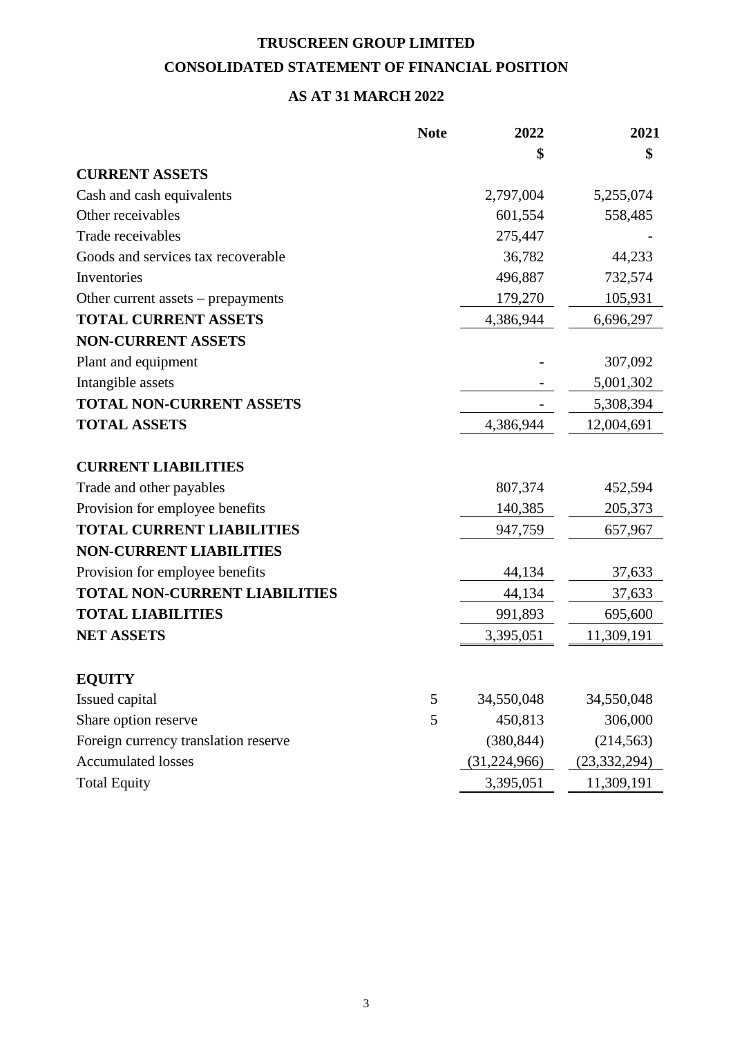# **TRUSCREEN GROUP LIMITED CONSOLIDATED STATEMENT OF FINANCIAL POSITION**

# **AS AT 31 MARCH 2022**

|                                      | <b>Note</b> | 2022         | 2021           |
|--------------------------------------|-------------|--------------|----------------|
|                                      |             | \$           | \$             |
| <b>CURRENT ASSETS</b>                |             |              |                |
| Cash and cash equivalents            |             | 2,797,004    | 5,255,074      |
| Other receivables                    |             | 601,554      | 558,485        |
| Trade receivables                    |             | 275,447      |                |
| Goods and services tax recoverable   |             | 36,782       | 44,233         |
| Inventories                          |             | 496,887      | 732,574        |
| Other current assets – prepayments   |             | 179,270      | 105,931        |
| <b>TOTAL CURRENT ASSETS</b>          |             | 4,386,944    | 6,696,297      |
| <b>NON-CURRENT ASSETS</b>            |             |              |                |
| Plant and equipment                  |             |              | 307,092        |
| Intangible assets                    |             |              | 5,001,302      |
| <b>TOTAL NON-CURRENT ASSETS</b>      |             |              | 5,308,394      |
| <b>TOTAL ASSETS</b>                  |             | 4,386,944    | 12,004,691     |
| <b>CURRENT LIABILITIES</b>           |             |              |                |
| Trade and other payables             |             | 807,374      | 452,594        |
| Provision for employee benefits      |             | 140,385      | 205,373        |
| <b>TOTAL CURRENT LIABILITIES</b>     |             | 947,759      | 657,967        |
| <b>NON-CURRENT LIABILITIES</b>       |             |              |                |
| Provision for employee benefits      |             | 44,134       | 37,633         |
| <b>TOTAL NON-CURRENT LIABILITIES</b> |             | 44,134       | 37,633         |
| <b>TOTAL LIABILITIES</b>             |             | 991,893      | 695,600        |
| <b>NET ASSETS</b>                    |             | 3,395,051    | 11,309,191     |
| <b>EQUITY</b>                        |             |              |                |
| Issued capital                       | 5           | 34,550,048   | 34,550,048     |
| Share option reserve                 | 5           | 450,813      | 306,000        |
| Foreign currency translation reserve |             | (380, 844)   | (214, 563)     |
| <b>Accumulated losses</b>            |             | (31,224,966) | (23, 332, 294) |
| <b>Total Equity</b>                  |             | 3,395,051    | 11,309,191     |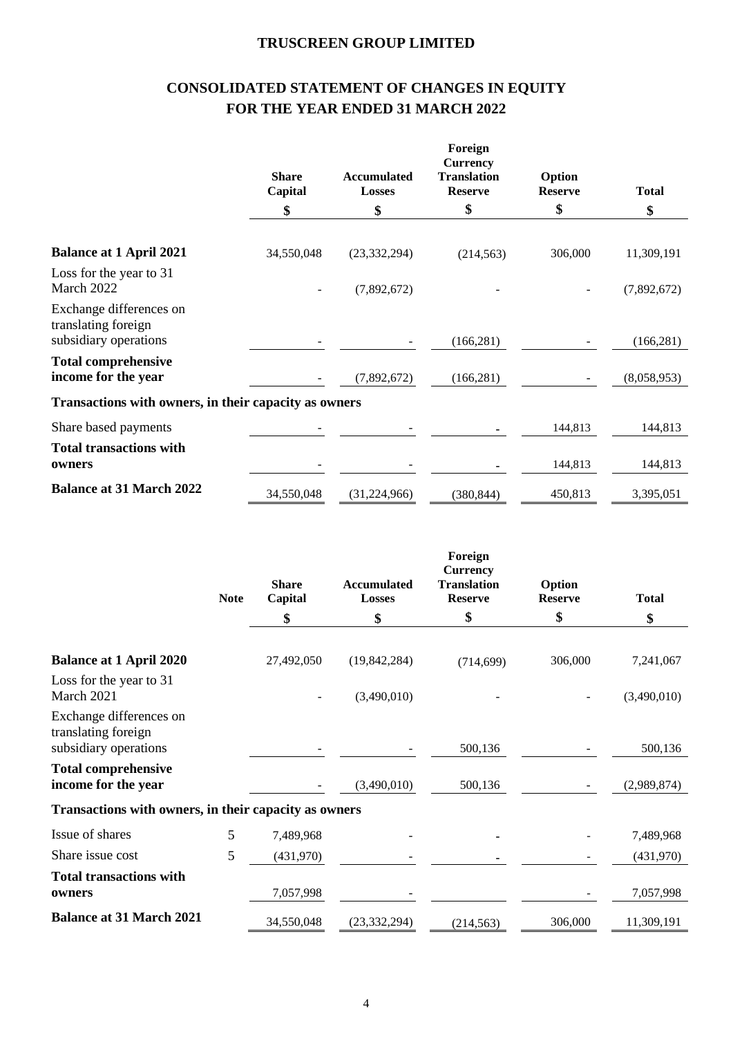# **CONSOLIDATED STATEMENT OF CHANGES IN EQUITY FOR THE YEAR ENDED 31 MARCH 2022**

|                                                                         | <b>Share</b><br>Capital | <b>Accumulated</b><br><b>Losses</b> | Foreign<br><b>Currency</b><br><b>Translation</b><br><b>Reserve</b> | Option<br><b>Reserve</b> | <b>Total</b> |
|-------------------------------------------------------------------------|-------------------------|-------------------------------------|--------------------------------------------------------------------|--------------------------|--------------|
|                                                                         | \$                      | \$                                  | \$                                                                 | \$                       | \$           |
| <b>Balance at 1 April 2021</b>                                          | 34,550,048              | (23, 332, 294)                      | (214, 563)                                                         | 306,000                  | 11,309,191   |
| Loss for the year to 31<br>March 2022                                   |                         | (7,892,672)                         |                                                                    |                          | (7,892,672)  |
| Exchange differences on<br>translating foreign<br>subsidiary operations |                         |                                     | (166, 281)                                                         |                          | (166, 281)   |
| <b>Total comprehensive</b><br>income for the year                       |                         | (7,892,672)                         | (166, 281)                                                         |                          | (8,058,953)  |
| Transactions with owners, in their capacity as owners                   |                         |                                     |                                                                    |                          |              |
| Share based payments                                                    |                         |                                     |                                                                    | 144,813                  | 144,813      |
| <b>Total transactions with</b><br>owners                                |                         |                                     |                                                                    | 144,813                  | 144,813      |
| <b>Balance at 31 March 2022</b>                                         | 34,550,048              | (31, 224, 966)                      | (380, 844)                                                         | 450,813                  | 3,395,051    |

|                                                                         | <b>Note</b> | <b>Share</b><br>Capital | <b>Accumulated</b><br>Losses | Foreign<br><b>Currency</b><br><b>Translation</b><br><b>Reserve</b> | Option<br><b>Reserve</b> | <b>Total</b> |
|-------------------------------------------------------------------------|-------------|-------------------------|------------------------------|--------------------------------------------------------------------|--------------------------|--------------|
|                                                                         |             | \$                      | \$                           | \$                                                                 | \$                       | \$           |
| <b>Balance at 1 April 2020</b>                                          |             | 27,492,050              | (19, 842, 284)               | (714, 699)                                                         | 306,000                  | 7,241,067    |
| Loss for the year to 31<br>March 2021                                   |             |                         | (3,490,010)                  |                                                                    |                          | (3,490,010)  |
| Exchange differences on<br>translating foreign<br>subsidiary operations |             |                         |                              | 500,136                                                            |                          | 500,136      |
| <b>Total comprehensive</b><br>income for the year                       |             |                         | (3,490,010)                  | 500,136                                                            |                          | (2,989,874)  |
| Transactions with owners, in their capacity as owners                   |             |                         |                              |                                                                    |                          |              |
| Issue of shares                                                         | 5           | 7,489,968               |                              |                                                                    |                          | 7,489,968    |
| Share issue cost                                                        | 5           | (431,970)               |                              |                                                                    |                          | (431,970)    |
| <b>Total transactions with</b><br>owners                                |             | 7,057,998               |                              |                                                                    |                          | 7,057,998    |
| <b>Balance at 31 March 2021</b>                                         |             | 34,550,048              | (23, 332, 294)               | (214, 563)                                                         | 306,000                  | 11,309,191   |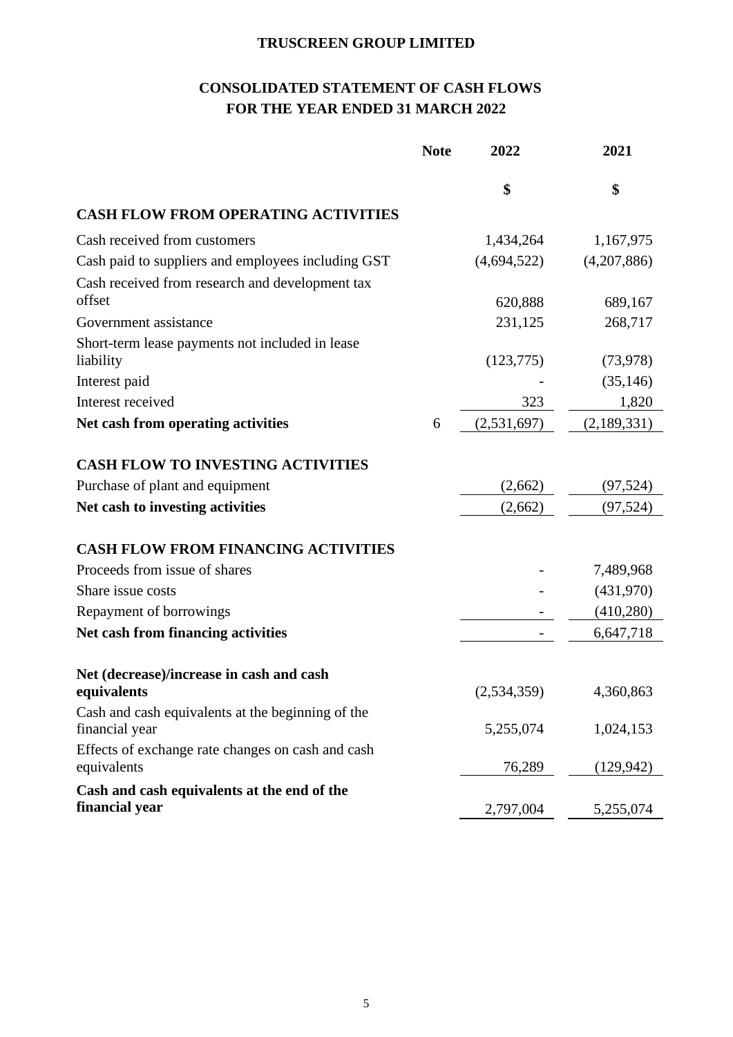# **CONSOLIDATED STATEMENT OF CASH FLOWS FOR THE YEAR ENDED 31 MARCH 2022**

|                                                                     | <b>Note</b> | 2022        | 2021        |
|---------------------------------------------------------------------|-------------|-------------|-------------|
|                                                                     |             | \$          | \$          |
| <b>CASH FLOW FROM OPERATING ACTIVITIES</b>                          |             |             |             |
| Cash received from customers                                        |             | 1,434,264   | 1,167,975   |
| Cash paid to suppliers and employees including GST                  |             | (4,694,522) | (4,207,886) |
| Cash received from research and development tax                     |             |             |             |
| offset                                                              |             | 620,888     | 689,167     |
| Government assistance                                               |             | 231,125     | 268,717     |
| Short-term lease payments not included in lease<br>liability        |             | (123, 775)  | (73, 978)   |
| Interest paid                                                       |             |             | (35, 146)   |
| Interest received                                                   |             | 323         | 1,820       |
| Net cash from operating activities                                  | 6           | (2,531,697) | (2,189,331) |
| <b>CASH FLOW TO INVESTING ACTIVITIES</b>                            |             |             |             |
| Purchase of plant and equipment                                     |             | (2,662)     | (97, 524)   |
| Net cash to investing activities                                    |             | (2,662)     | (97, 524)   |
| <b>CASH FLOW FROM FINANCING ACTIVITIES</b>                          |             |             |             |
| Proceeds from issue of shares                                       |             |             | 7,489,968   |
| Share issue costs                                                   |             |             | (431,970)   |
| Repayment of borrowings                                             |             |             | (410,280)   |
| Net cash from financing activities                                  |             |             | 6,647,718   |
| Net (decrease)/increase in cash and cash                            |             |             |             |
| equivalents                                                         |             | (2,534,359) | 4,360,863   |
| Cash and cash equivalents at the beginning of the<br>financial year |             | 5,255,074   | 1,024,153   |
| Effects of exchange rate changes on cash and cash<br>equivalents    |             | 76,289      | (129, 942)  |
| Cash and cash equivalents at the end of the<br>financial year       |             | 2,797,004   | 5,255,074   |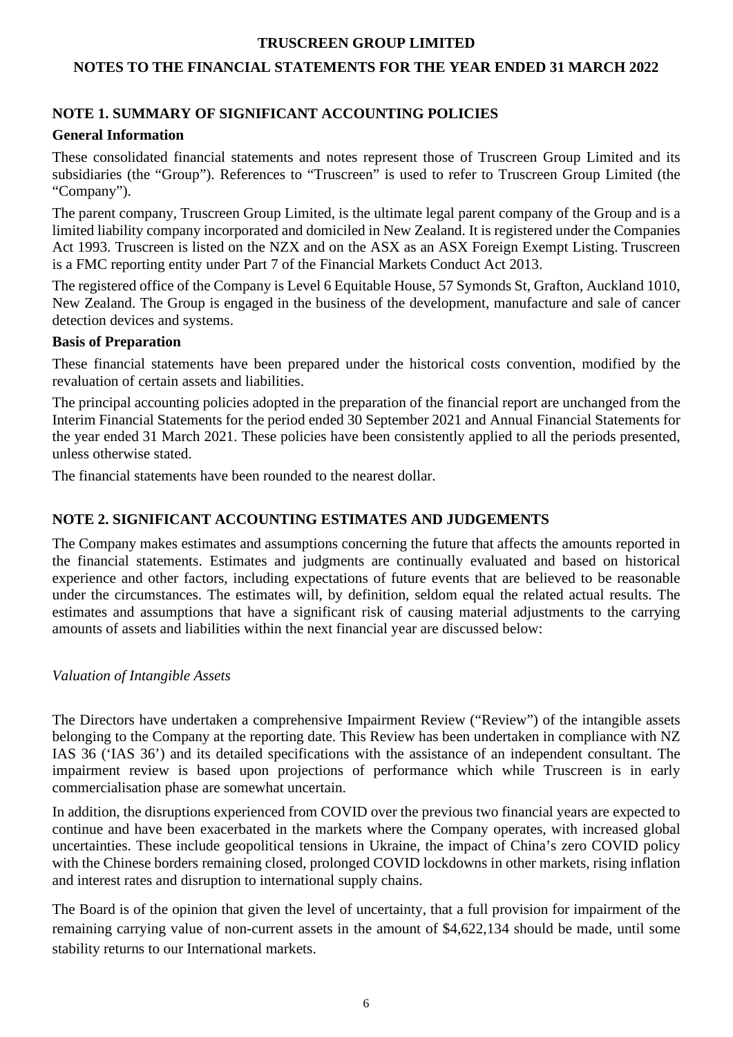# **NOTES TO THE FINANCIAL STATEMENTS FOR THE YEAR ENDED 31 MARCH 2022**

# **NOTE 1. SUMMARY OF SIGNIFICANT ACCOUNTING POLICIES**

# **General Information**

These consolidated financial statements and notes represent those of Truscreen Group Limited and its subsidiaries (the "Group"). References to "Truscreen" is used to refer to Truscreen Group Limited (the "Company").

The parent company, Truscreen Group Limited, is the ultimate legal parent company of the Group and is a limited liability company incorporated and domiciled in New Zealand. It is registered under the Companies Act 1993. Truscreen is listed on the NZX and on the ASX as an ASX Foreign Exempt Listing. Truscreen is a FMC reporting entity under Part 7 of the Financial Markets Conduct Act 2013.

The registered office of the Company is Level 6 Equitable House, 57 Symonds St, Grafton, Auckland 1010, New Zealand. The Group is engaged in the business of the development, manufacture and sale of cancer detection devices and systems.

#### **Basis of Preparation**

These financial statements have been prepared under the historical costs convention, modified by the revaluation of certain assets and liabilities.

The principal accounting policies adopted in the preparation of the financial report are unchanged from the Interim Financial Statements for the period ended 30 September 2021 and Annual Financial Statements for the year ended 31 March 2021. These policies have been consistently applied to all the periods presented, unless otherwise stated.

The financial statements have been rounded to the nearest dollar.

# **NOTE 2. SIGNIFICANT ACCOUNTING ESTIMATES AND JUDGEMENTS**

The Company makes estimates and assumptions concerning the future that affects the amounts reported in the financial statements. Estimates and judgments are continually evaluated and based on historical experience and other factors, including expectations of future events that are believed to be reasonable under the circumstances. The estimates will, by definition, seldom equal the related actual results. The estimates and assumptions that have a significant risk of causing material adjustments to the carrying amounts of assets and liabilities within the next financial year are discussed below:

#### *Valuation of Intangible Assets*

The Directors have undertaken a comprehensive Impairment Review ("Review") of the intangible assets belonging to the Company at the reporting date. This Review has been undertaken in compliance with NZ IAS 36 ('IAS 36') and its detailed specifications with the assistance of an independent consultant. The impairment review is based upon projections of performance which while Truscreen is in early commercialisation phase are somewhat uncertain.

In addition, the disruptions experienced from COVID over the previous two financial years are expected to continue and have been exacerbated in the markets where the Company operates, with increased global uncertainties. These include geopolitical tensions in Ukraine, the impact of China's zero COVID policy with the Chinese borders remaining closed, prolonged COVID lockdowns in other markets, rising inflation and interest rates and disruption to international supply chains.

The Board is of the opinion that given the level of uncertainty, that a full provision for impairment of the remaining carrying value of non-current assets in the amount of \$4,622,134 should be made, until some stability returns to our International markets.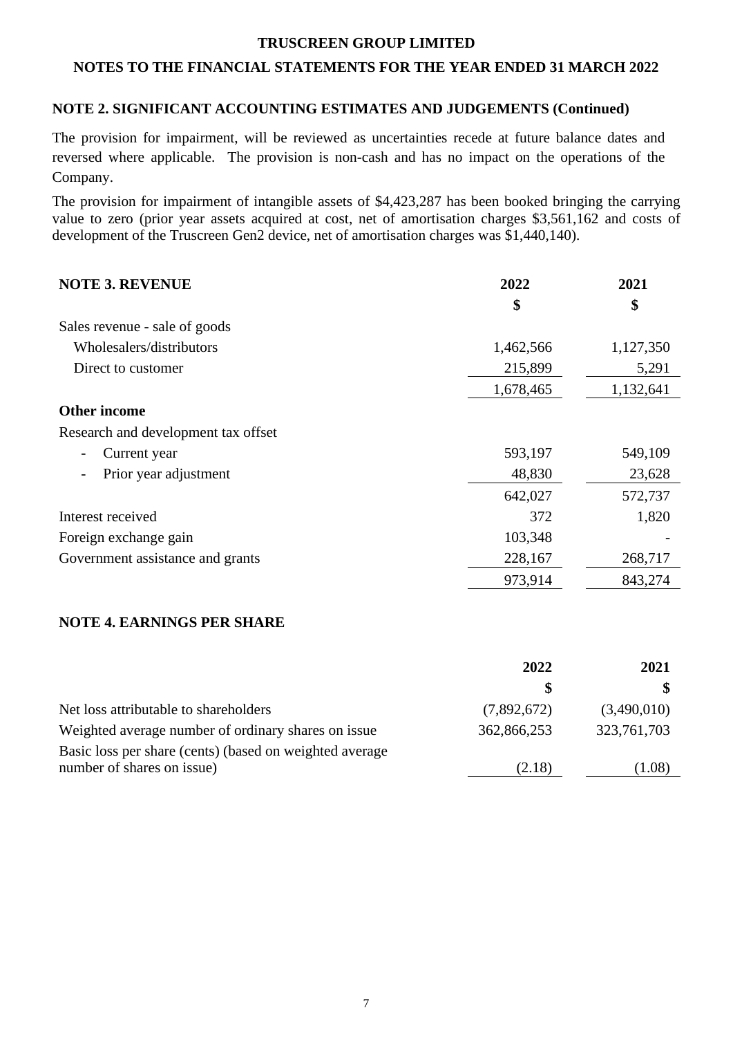## **NOTES TO THE FINANCIAL STATEMENTS FOR THE YEAR ENDED 31 MARCH 2022**

## **NOTE 2. SIGNIFICANT ACCOUNTING ESTIMATES AND JUDGEMENTS (Continued)**

The provision for impairment, will be reviewed as uncertainties recede at future balance dates and reversed where applicable. The provision is non-cash and has no impact on the operations of the Company.

The provision for impairment of intangible assets of \$4,423,287 has been booked bringing the carrying value to zero (prior year assets acquired at cost, net of amortisation charges \$3,561,162 and costs of development of the Truscreen Gen2 device, net of amortisation charges was \$1,440,140).

| <b>NOTE 3. REVENUE</b>              | 2022      |           |
|-------------------------------------|-----------|-----------|
|                                     | \$        | \$        |
| Sales revenue - sale of goods       |           |           |
| Wholesalers/distributors            | 1,462,566 | 1,127,350 |
| Direct to customer                  | 215,899   | 5,291     |
|                                     | 1,678,465 | 1,132,641 |
| <b>Other income</b>                 |           |           |
| Research and development tax offset |           |           |
| Current year<br>-                   | 593,197   | 549,109   |
| Prior year adjustment               | 48,830    | 23,628    |
|                                     | 642,027   | 572,737   |
| Interest received                   | 372       | 1,820     |
| Foreign exchange gain               | 103,348   |           |
| Government assistance and grants    | 228,167   | 268,717   |
|                                     | 973,914   | 843,274   |

# **NOTE 4. EARNINGS PER SHARE**

|                                                                                       | 2022        | 2021        |
|---------------------------------------------------------------------------------------|-------------|-------------|
|                                                                                       |             |             |
| Net loss attributable to shareholders                                                 | (7,892,672) | (3,490,010) |
| Weighted average number of ordinary shares on issue                                   | 362,866,253 | 323,761,703 |
| Basic loss per share (cents) (based on weighted average<br>number of shares on issue) | (2.18)      | (1.08)      |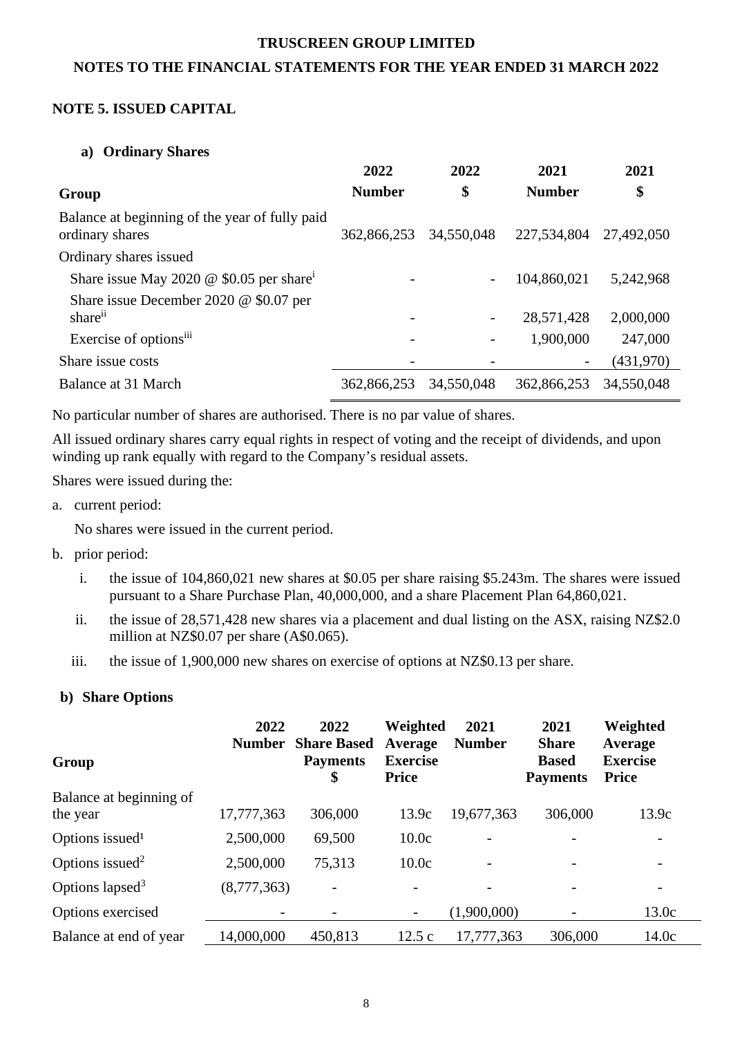## **NOTES TO THE FINANCIAL STATEMENTS FOR THE YEAR ENDED 31 MARCH 2022**

## **NOTE 5. ISSUED CAPITAL**

#### **a) Ordinary Shares**

|                                                                   | 2022          | 2022       | 2021                     | 2021       |
|-------------------------------------------------------------------|---------------|------------|--------------------------|------------|
| Group                                                             | <b>Number</b> | \$         | <b>Number</b>            | \$         |
| Balance at beginning of the year of fully paid<br>ordinary shares | 362,866,253   | 34,550,048 | 227,534,804              | 27,492,050 |
| Ordinary shares issued                                            |               |            |                          |            |
| Share issue May 2020 $\omega$ \$0.05 per share <sup>i</sup>       |               |            | 104,860,021              | 5,242,968  |
| Share issue December 2020 $@$ \$0.07 per                          |               |            |                          |            |
| share <sup>ii</sup>                                               |               |            | 28,571,428               | 2,000,000  |
| Exercise of options <sup>iii</sup>                                |               |            | 1,900,000                | 247,000    |
| Share issue costs                                                 |               |            | $\overline{\phantom{a}}$ | (431,970)  |
| Balance at 31 March                                               | 362,866,253   | 34,550,048 | 362,866,253              | 34,550,048 |

No particular number of shares are authorised. There is no par value of shares.

All issued ordinary shares carry equal rights in respect of voting and the receipt of dividends, and upon winding up rank equally with regard to the Company's residual assets.

Shares were issued during the:

a. current period:

No shares were issued in the current period.

- b. prior period:
	- i. the issue of 104,860,021 new shares at \$0.05 per share raising \$5.243m. The shares were issued pursuant to a Share Purchase Plan, 40,000,000, and a share Placement Plan 64,860,021.
	- ii. the issue of 28,571,428 new shares via a placement and dual listing on the ASX, raising NZ\$2.0 million at NZ\$0.07 per share (A\$0.065).
	- iii. the issue of 1,900,000 new shares on exercise of options at NZ\$0.13 per share.

#### **b) Share Options**

| Group                       | 2022<br><b>Number</b> | 2022<br><b>Share Based</b><br><b>Payments</b><br>\$ | Weighted<br>Average<br><b>Exercise</b><br><b>Price</b> | 2021<br><b>Number</b> | 2021<br><b>Share</b><br><b>Based</b><br><b>Payments</b> | Weighted<br>Average<br><b>Exercise</b><br><b>Price</b> |
|-----------------------------|-----------------------|-----------------------------------------------------|--------------------------------------------------------|-----------------------|---------------------------------------------------------|--------------------------------------------------------|
| Balance at beginning of     |                       |                                                     |                                                        |                       |                                                         |                                                        |
| the year                    | 17,777,363            | 306,000                                             | 13.9c                                                  | 19,677,363            | 306,000                                                 | 13.9c                                                  |
| Options issued <sup>1</sup> | 2,500,000             | 69,500                                              | 10.0c                                                  |                       |                                                         |                                                        |
| Options issued <sup>2</sup> | 2,500,000             | 75,313                                              | 10.0c                                                  |                       | $\overline{a}$                                          | $\overline{\phantom{a}}$                               |
| Options lapsed <sup>3</sup> | (8,777,363)           |                                                     |                                                        |                       |                                                         | $\overline{\phantom{a}}$                               |
| Options exercised           |                       |                                                     | $\overline{\phantom{a}}$                               | (1,900,000)           |                                                         | 13.0c                                                  |
| Balance at end of year      | 14,000,000            | 450,813                                             | 12.5c                                                  | 17,777,363            | 306,000                                                 | 14.0c                                                  |